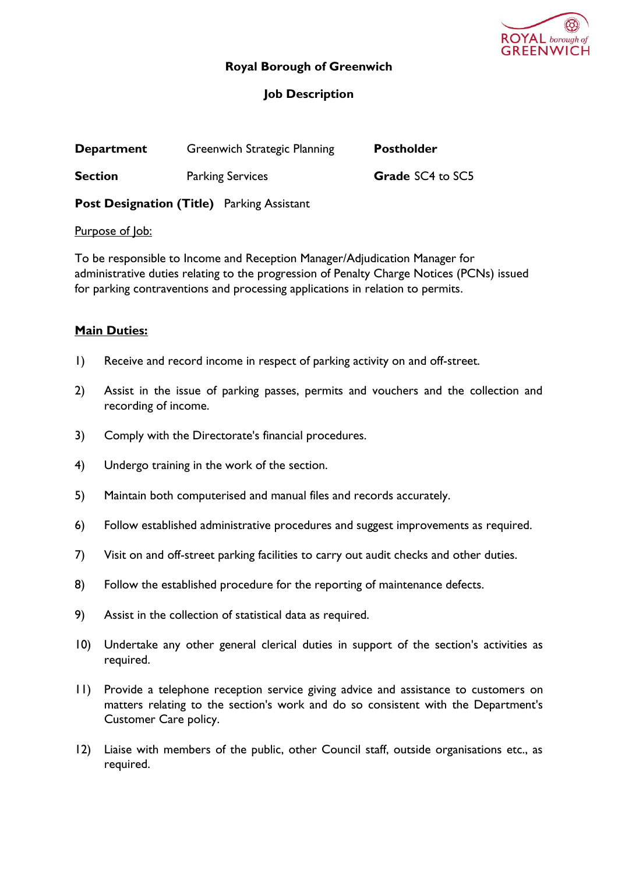

## **Royal Borough of Greenwich**

# **Job Description**

| <b>Department</b>                                 | Greenwich Strategic Planning | <b>Postholder</b> |  |  |
|---------------------------------------------------|------------------------------|-------------------|--|--|
| <b>Section</b>                                    | <b>Parking Services</b>      | Grade SC4 to SC5  |  |  |
| <b>Post Designation (Title)</b> Parking Assistant |                              |                   |  |  |

Purpose of Job:

To be responsible to Income and Reception Manager/Adjudication Manager for administrative duties relating to the progression of Penalty Charge Notices (PCNs) issued for parking contraventions and processing applications in relation to permits.

## **Main Duties:**

- 1) Receive and record income in respect of parking activity on and off-street.
- 2) Assist in the issue of parking passes, permits and vouchers and the collection and recording of income.
- 3) Comply with the Directorate's financial procedures.
- 4) Undergo training in the work of the section.
- 5) Maintain both computerised and manual files and records accurately.
- 6) Follow established administrative procedures and suggest improvements as required.
- 7) Visit on and off-street parking facilities to carry out audit checks and other duties.
- 8) Follow the established procedure for the reporting of maintenance defects.
- 9) Assist in the collection of statistical data as required.
- 10) Undertake any other general clerical duties in support of the section's activities as required.
- 11) Provide a telephone reception service giving advice and assistance to customers on matters relating to the section's work and do so consistent with the Department's Customer Care policy.
- 12) Liaise with members of the public, other Council staff, outside organisations etc., as required.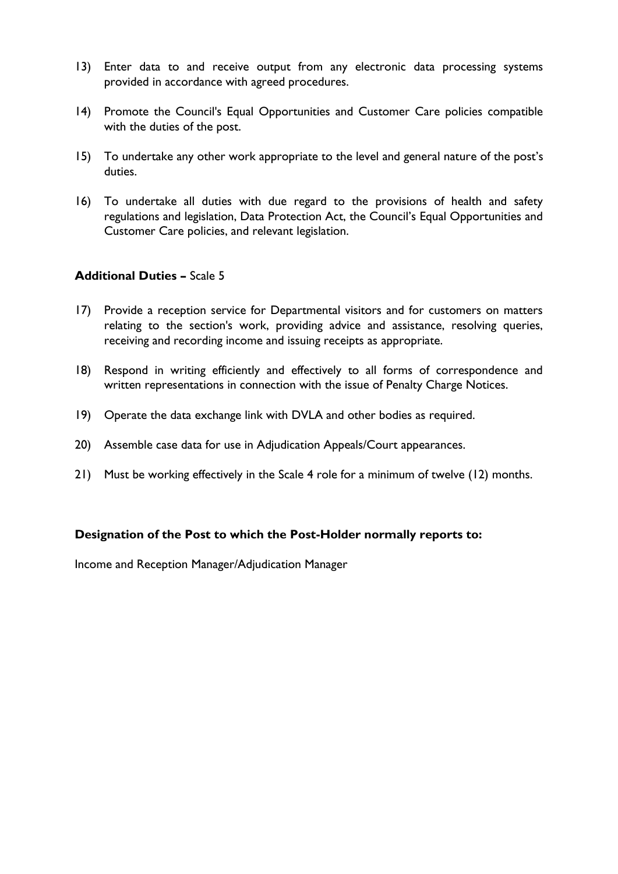- 13) Enter data to and receive output from any electronic data processing systems provided in accordance with agreed procedures.
- 14) Promote the Council's Equal Opportunities and Customer Care policies compatible with the duties of the post.
- 15) To undertake any other work appropriate to the level and general nature of the post's duties.
- 16) To undertake all duties with due regard to the provisions of health and safety regulations and legislation, Data Protection Act, the Council's Equal Opportunities and Customer Care policies, and relevant legislation.

#### **Additional Duties –** Scale 5

- 17) Provide a reception service for Departmental visitors and for customers on matters relating to the section's work, providing advice and assistance, resolving queries, receiving and recording income and issuing receipts as appropriate.
- 18) Respond in writing efficiently and effectively to all forms of correspondence and written representations in connection with the issue of Penalty Charge Notices.
- 19) Operate the data exchange link with DVLA and other bodies as required.
- 20) Assemble case data for use in Adjudication Appeals/Court appearances.
- 21) Must be working effectively in the Scale 4 role for a minimum of twelve (12) months.

#### **Designation of the Post to which the Post-Holder normally reports to:**

Income and Reception Manager/Adjudication Manager